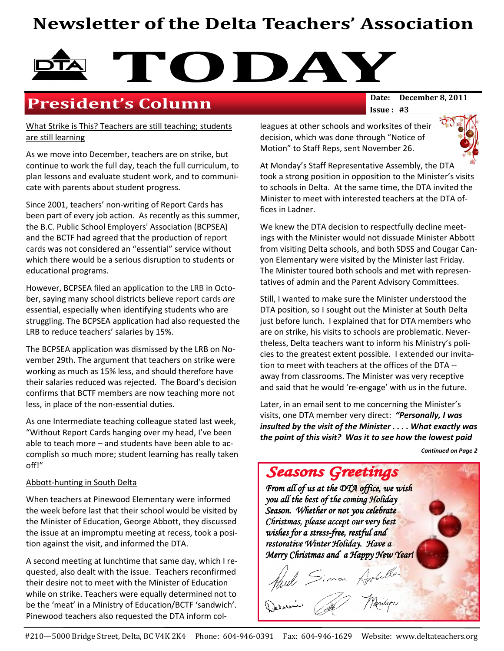# Newsletter of the Delta Teachers' Association



## **President's Column**

What Strike is This? Teachers are still teaching; students are still learning

As we move into December, teachers are on strike, but continue to work the full day, teach the full curriculum, to plan lessons and evaluate student work, and to communicate with parents about student progress.

Since 2001, teachers' non-writing of Report Cards has been part of every job action. As recently as this summer, the B.C. Public School Employers' Association (BCPSEA) and the BCTF had agreed that the production of report cards was not considered an "essential" service without which there would be a serious disruption to students or educational programs.

However, BCPSEA filed an application to the LRB in October, saying many school districts believe report cards are essential, especially when identifying students who are struggling. The BCPSEA application had also requested the LRB to reduce teachers' salaries by 15%.

The BCPSEA application was dismissed by the LRB on November 29th. The argument that teachers on strike were working as much as 15% less, and should therefore have their salaries reduced was rejected. The Board's decision confirms that BCTF members are now teaching more not less, in place of the non-essential duties.

As one Intermediate teaching colleague stated last week, "Without Report Cards hanging over my head, I've been able to teach more – and students have been able to accomplish so much more; student learning has really taken off!"

#### Abbott-hunting in South Delta

When teachers at Pinewood Elementary were informed the week before last that their school would be visited by the Minister of Education, George Abbott, they discussed the issue at an impromptu meeting at recess, took a position against the visit, and informed the DTA.

A second meeting at lunchtime that same day, which I requested, also dealt with the issue. Teachers reconfirmed their desire not to meet with the Minister of Education while on strike. Teachers were equally determined not to be the 'meat' in a Ministry of Education/BCTF 'sandwich'. Pinewood teachers also requested the DTA inform colIssue : #3

leagues at other schools and worksites of their decision, which was done through "Notice of Motion" to Staff Reps, sent November 26.



At Monday's Staff Representative Assembly, the DTA took a strong position in opposition to the Minister's visits to schools in Delta. At the same time, the DTA invited the Minister to meet with interested teachers at the DTA offices in Ladner.

We knew the DTA decision to respectfully decline meetings with the Minister would not dissuade Minister Abbott from visiting Delta schools, and both SDSS and Cougar Canyon Elementary were visited by the Minister last Friday. The Minister toured both schools and met with representatives of admin and the Parent Advisory Committees.

Still, I wanted to make sure the Minister understood the DTA position, so I sought out the Minister at South Delta just before lunch. I explained that for DTA members who are on strike, his visits to schools are problematic. Nevertheless, Delta teachers want to inform his Ministry's policies to the greatest extent possible. I extended our invitation to meet with teachers at the offices of the DTA - away from classrooms. The Minister was very receptive and said that he would 're-engage' with us in the future.

Later, in an email sent to me concerning the Minister's visits, one DTA member very direct: "Personally, I was insulted by the visit of the Minister . . . . What exactly was the point of this visit? Was it to see how the lowest paid

Continued on Page 2

Seasons Greetings From all of us at the DTA office, we wish you all the best of the coming Holiday Season. Whether or not you celebrate Christmas, please accept our very best wishes for a stress-free, restful and restorative Winter Holiday. Have a Merry Christmas and a Happy New Year! Simon Applelle